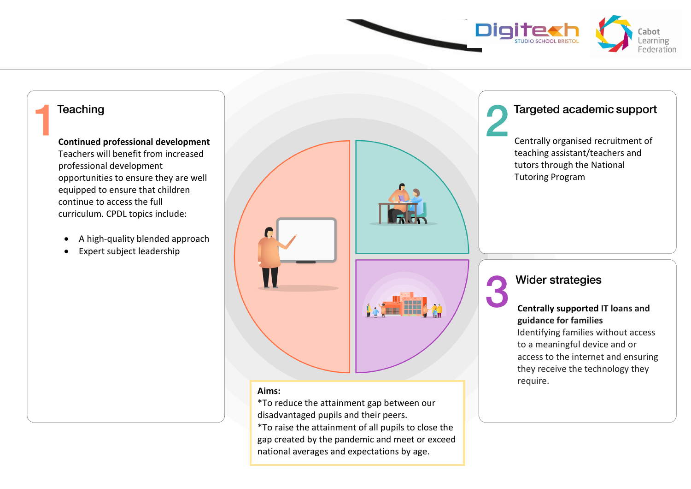

# **Teaching Continued professional development**  Teachers will benefit from increased professional development opportunities to ensure they are well equipped to ensure that children

continue to access the full curriculum. CPDL topics include:

- A high-quality blended approach
- Expert subject leadership

# **Aims:**

\*To reduce the attainment gap between our disadvantaged pupils and their peers. \*To raise the attainment of all pupils to close the gap created by the pandemic and meet or exceed national averages and expectations by age.

## Targeted academic support

Centrally organised recruitment of teaching assistant/teachers and tutors through the National Tutoring Program

**Wider strategies** 

### **Centrally supported IT loans and guidance for families**

Identifying families without access to a meaningful device and or access to the internet and ensuring they receive the technology they require.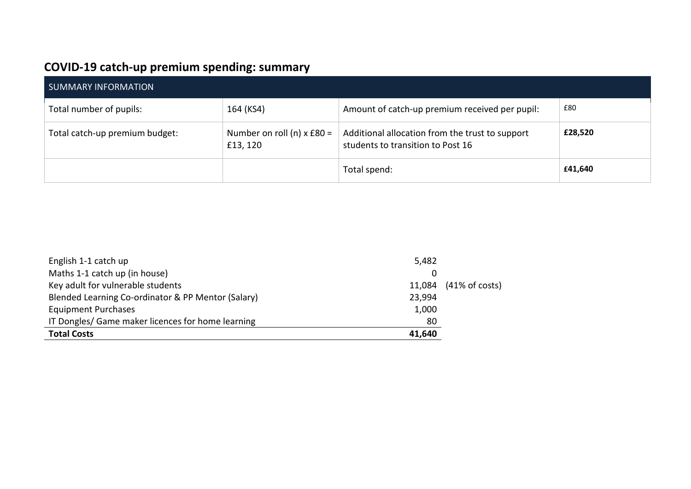# **COVID-19 catch-up premium spending: summary**

| SUMMARY INFORMATION            |                                                  |                                                                                      |         |
|--------------------------------|--------------------------------------------------|--------------------------------------------------------------------------------------|---------|
| Total number of pupils:        | 164 (KS4)                                        | Amount of catch-up premium received per pupil:                                       | £80     |
| Total catch-up premium budget: | Number on roll (n) $x \text{ E80} =$<br>£13, 120 | Additional allocation from the trust to support<br>students to transition to Post 16 | £28,520 |
|                                |                                                  | Total spend:                                                                         | £41,640 |

| English 1-1 catch up                               | 5,482  |                           |
|----------------------------------------------------|--------|---------------------------|
| Maths 1-1 catch up (in house)                      |        |                           |
| Key adult for vulnerable students                  | 11,084 | $(41\% \text{ of costs})$ |
| Blended Learning Co-ordinator & PP Mentor (Salary) | 23,994 |                           |
| <b>Equipment Purchases</b>                         | 1,000  |                           |
| IT Dongles/ Game maker licences for home learning  | 80     |                           |
| <b>Total Costs</b>                                 | 41,640 |                           |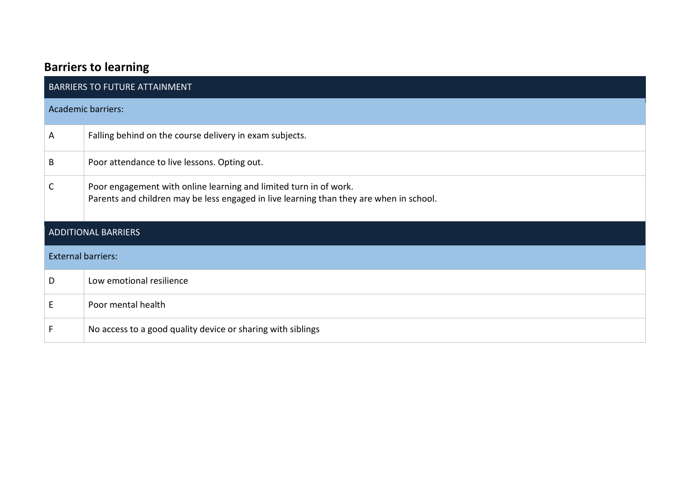# **Barriers to learning**

| <b>BARRIERS TO FUTURE ATTAINMENT</b> |                                                                                                                                                              |  |  |  |
|--------------------------------------|--------------------------------------------------------------------------------------------------------------------------------------------------------------|--|--|--|
|                                      | <b>Academic barriers:</b>                                                                                                                                    |  |  |  |
| A                                    | Falling behind on the course delivery in exam subjects.                                                                                                      |  |  |  |
| B                                    | Poor attendance to live lessons. Opting out.                                                                                                                 |  |  |  |
| C                                    | Poor engagement with online learning and limited turn in of work.<br>Parents and children may be less engaged in live learning than they are when in school. |  |  |  |
| <b>ADDITIONAL BARRIERS</b>           |                                                                                                                                                              |  |  |  |
| <b>External barriers:</b>            |                                                                                                                                                              |  |  |  |
| D                                    | Low emotional resilience                                                                                                                                     |  |  |  |
| E                                    | Poor mental health                                                                                                                                           |  |  |  |
|                                      | No access to a good quality device or sharing with siblings                                                                                                  |  |  |  |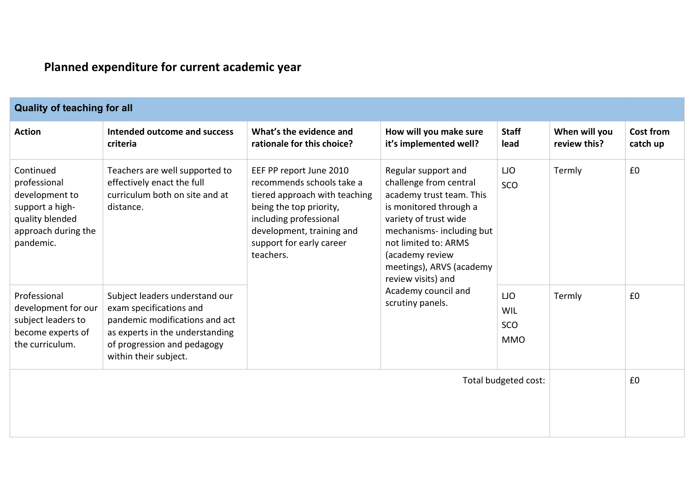# **Planned expenditure for current academic year**

| <b>Quality of teaching for all</b>                                                                                    |                                                                                                                                                                                        |                                                                                                                                                                                                                  |                                                                                                                                                                                                                                                                                                   |                                        |                               |                              |
|-----------------------------------------------------------------------------------------------------------------------|----------------------------------------------------------------------------------------------------------------------------------------------------------------------------------------|------------------------------------------------------------------------------------------------------------------------------------------------------------------------------------------------------------------|---------------------------------------------------------------------------------------------------------------------------------------------------------------------------------------------------------------------------------------------------------------------------------------------------|----------------------------------------|-------------------------------|------------------------------|
| <b>Action</b>                                                                                                         | Intended outcome and success<br>criteria                                                                                                                                               | What's the evidence and<br>rationale for this choice?                                                                                                                                                            | How will you make sure<br>it's implemented well?                                                                                                                                                                                                                                                  | <b>Staff</b><br>lead                   | When will you<br>review this? | <b>Cost from</b><br>catch up |
| Continued<br>professional<br>development to<br>support a high-<br>quality blended<br>approach during the<br>pandemic. | Teachers are well supported to<br>effectively enact the full<br>curriculum both on site and at<br>distance.                                                                            | EEF PP report June 2010<br>recommends schools take a<br>tiered approach with teaching<br>being the top priority,<br>including professional<br>development, training and<br>support for early career<br>teachers. | Regular support and<br>challenge from central<br>academy trust team. This<br>is monitored through a<br>variety of trust wide<br>mechanisms- including but<br>not limited to: ARMS<br>(academy review<br>meetings), ARVS (academy<br>review visits) and<br>Academy council and<br>scrutiny panels. | <b>LJO</b><br>SCO                      | Termly                        | £0                           |
| Professional<br>development for our<br>subject leaders to<br>become experts of<br>the curriculum.                     | Subject leaders understand our<br>exam specifications and<br>pandemic modifications and act<br>as experts in the understanding<br>of progression and pedagogy<br>within their subject. |                                                                                                                                                                                                                  |                                                                                                                                                                                                                                                                                                   | <b>LJO</b><br>WIL<br>SCO<br><b>MMO</b> | Termly                        | £0                           |
|                                                                                                                       |                                                                                                                                                                                        |                                                                                                                                                                                                                  |                                                                                                                                                                                                                                                                                                   | Total budgeted cost:                   |                               | £0                           |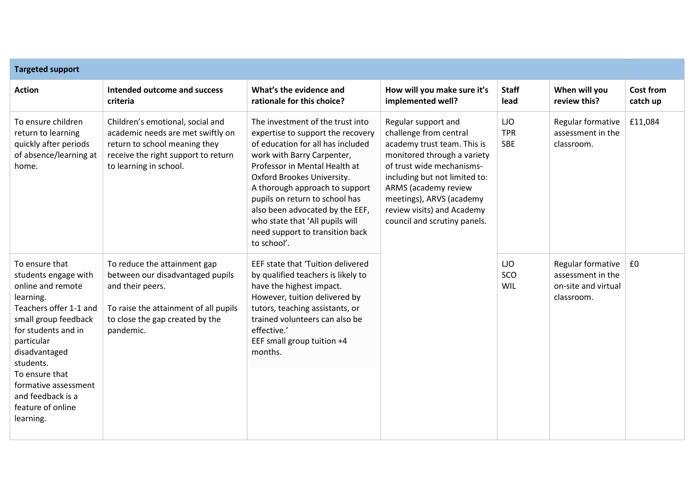| <b>Targeted support</b>                                                                                                                                                                                                                                                                        |                                                                                                                                                                               |                                                                                                                                                                                                                                                                                                                                                                                                     |                                                                                                                                                                                                                                                                                             |                                        |                                                                             |                       |
|------------------------------------------------------------------------------------------------------------------------------------------------------------------------------------------------------------------------------------------------------------------------------------------------|-------------------------------------------------------------------------------------------------------------------------------------------------------------------------------|-----------------------------------------------------------------------------------------------------------------------------------------------------------------------------------------------------------------------------------------------------------------------------------------------------------------------------------------------------------------------------------------------------|---------------------------------------------------------------------------------------------------------------------------------------------------------------------------------------------------------------------------------------------------------------------------------------------|----------------------------------------|-----------------------------------------------------------------------------|-----------------------|
| <b>Action</b>                                                                                                                                                                                                                                                                                  | Intended outcome and success<br>criteria                                                                                                                                      | What's the evidence and<br>rationale for this choice?                                                                                                                                                                                                                                                                                                                                               | How will you make sure it's<br>implemented well?                                                                                                                                                                                                                                            | <b>Staff</b><br>lead                   | When will you<br>review this?                                               | Cost from<br>catch up |
| To ensure children<br>return to learning<br>quickly after periods<br>of absence/learning at<br>home.                                                                                                                                                                                           | Children's emotional, social and<br>academic needs are met swiftly on<br>return to school meaning they<br>receive the right support to return<br>to learning in school.       | The investment of the trust into<br>expertise to support the recovery<br>of education for all has included<br>work with Barry Carpenter,<br>Professor in Mental Health at<br>Oxford Brookes University.<br>A thorough approach to support<br>pupils on return to school has<br>also been advocated by the EEF,<br>who state that 'All pupils will<br>need support to transition back<br>to school'. | Regular support and<br>challenge from central<br>academy trust team. This is<br>monitored through a variety<br>of trust wide mechanisms-<br>including but not limited to:<br>ARMS (academy review<br>meetings), ARVS (academy<br>review visits) and Academy<br>council and scrutiny panels. | <b>LJO</b><br><b>TPR</b><br><b>SBE</b> | Regular formative<br>assessment in the<br>classroom.                        | £11,084               |
| To ensure that<br>students engage with<br>online and remote<br>learning.<br>Teachers offer 1-1 and<br>small group feedback<br>for students and in<br>particular<br>disadvantaged<br>students.<br>To ensure that<br>formative assessment<br>and feedback is a<br>feature of online<br>learning. | To reduce the attainment gap<br>between our disadvantaged pupils<br>and their peers.<br>To raise the attainment of all pupils<br>to close the gap created by the<br>pandemic. | EEF state that 'Tuition delivered<br>by qualified teachers is likely to<br>have the highest impact.<br>However, tuition delivered by<br>tutors, teaching assistants, or<br>trained volunteers can also be<br>effective.'<br>EEF small group tuition +4<br>months.                                                                                                                                   |                                                                                                                                                                                                                                                                                             | <b>LJO</b><br>SCO<br>WIL               | Regular formative<br>assessment in the<br>on-site and virtual<br>classroom. | £0                    |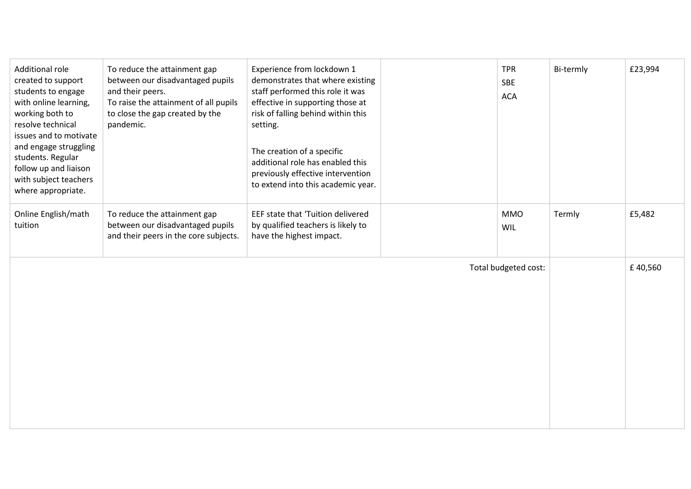| <b>Additional role</b><br>created to support<br>students to engage<br>with online learning,<br>working both to<br>resolve technical<br>issues and to motivate<br>and engage struggling<br>students. Regular<br>follow up and liaison<br>with subject teachers<br>where appropriate. | To reduce the attainment gap<br>between our disadvantaged pupils<br>and their peers.<br>To raise the attainment of all pupils<br>to close the gap created by the<br>pandemic. | Experience from lockdown 1<br>demonstrates that where existing<br>staff performed this role it was<br>effective in supporting those at<br>risk of falling behind within this<br>setting.<br>The creation of a specific<br>additional role has enabled this<br>previously effective intervention<br>to extend into this academic year. | <b>TPR</b><br><b>SBE</b><br><b>ACA</b> | Bi-termly | £23,994 |
|-------------------------------------------------------------------------------------------------------------------------------------------------------------------------------------------------------------------------------------------------------------------------------------|-------------------------------------------------------------------------------------------------------------------------------------------------------------------------------|---------------------------------------------------------------------------------------------------------------------------------------------------------------------------------------------------------------------------------------------------------------------------------------------------------------------------------------|----------------------------------------|-----------|---------|
| Online English/math<br>tuition                                                                                                                                                                                                                                                      | To reduce the attainment gap<br>between our disadvantaged pupils<br>and their peers in the core subjects.                                                                     | EEF state that 'Tuition delivered<br>by qualified teachers is likely to<br>have the highest impact.                                                                                                                                                                                                                                   | <b>MMO</b><br>WIL                      | Termly    | £5,482  |
|                                                                                                                                                                                                                                                                                     |                                                                                                                                                                               |                                                                                                                                                                                                                                                                                                                                       | Total budgeted cost:                   |           | £40,560 |